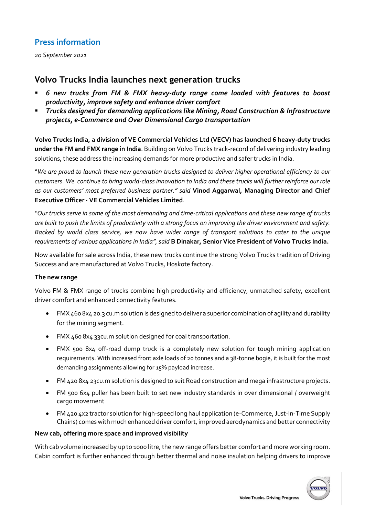# **Press information**

*20 September 2021*

## **Volvo Trucks India launches next generation trucks**

- *6 new trucks from FM & FMX heavy-duty range come loaded with features to boost productivity, improve safety and enhance driver comfort*
- *Trucks designed for demanding applications like Mining, Road Construction & Infrastructure projects, e-Commerce and Over Dimensional Cargo transportation*

**Volvo Trucks India, a division of VE Commercial Vehicles Ltd (VECV) has launched 6 heavy-duty trucks under the FM and FMX range in India**. Building on Volvo Trucks track-record of delivering industry leading solutions, these address the increasing demands for more productive and safer trucks in India.

"*We are proud to launch these new generation trucks designed to deliver higher operational efficiency to our customers. We continue to bring world-class innovation to India and these trucks will further reinforce our role as our customers' most preferred business partner." said* **Vinod Aggarwal, Managing Director and Chief Executive Officer · VE Commercial Vehicles Limited**.

*"Our trucks serve in some of the most demanding and time-critical applications and these new range of trucks are built to push the limits of productivity with a strong focus on improving the driver environment and safety. Backed by world class service, we now have wider range of transport solutions to cater to the unique requirements of various applications in India", said* **B Dinakar, Senior Vice President of Volvo Trucks India.**

Now available for sale across India, these new trucks continue the strong Volvo Trucks tradition of Driving Success and are manufactured at Volvo Trucks, Hoskote factory.

#### **The new range**

Volvo FM & FMX range of trucks combine high productivity and efficiency, unmatched safety, excellent driver comfort and enhanced connectivity features.

- FMX 460 8x4 20.3 cu.m solution is designed to deliver a superior combination of agility and durability for the mining segment.
- FMX 460 8x4 33cu.m solution designed for coal transportation.
- FMX 500 8x4 off-road dump truck is a completely new solution for tough mining application requirements. With increased front axle loads of 20 tonnes and a 38-tonne bogie, it is built for the most demanding assignments allowing for 15% payload increase.
- FM 420 8x4 23cu.m solution is designed to suit Road construction and mega infrastructure projects.
- FM 500 6x4 puller has been built to set new industry standards in over dimensional / overweight cargo movement
- FM 420 4x2 tractor solution for high-speed long haul application (e-Commerce, Just-In-Time Supply Chains) comes with much enhanced driver comfort, improved aerodynamics and better connectivity

#### **New cab, offering more space and improved visibility**

With cab volume increased by up to 1000 litre, the new range offers better comfort and more working room. Cabin comfort is further enhanced through better thermal and noise insulation helping drivers to improve